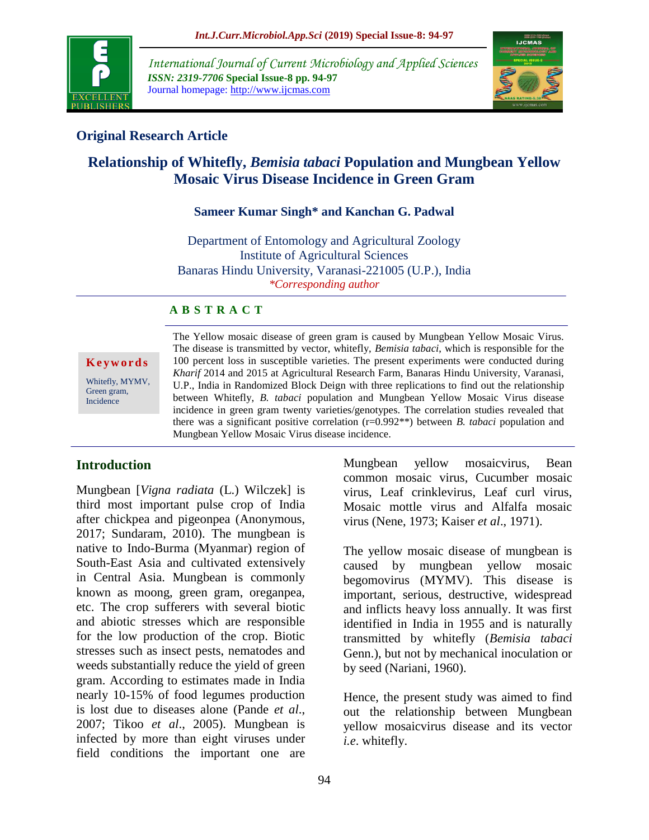

*International Journal of Current Microbiology and Applied Sciences ISSN: 2319-7706* **Special Issue-8 pp. 94-97** Journal homepage: http://www.ijcmas.com



## **Original Research Article**

# **Relationship of Whitefly,** *Bemisia tabaci* **Population and Mungbean Yellow Mosaic Virus Disease Incidence in Green Gram**

### **Sameer Kumar Singh\* and Kanchan G. Padwal**

Department of Entomology and Agricultural Zoology Institute of Agricultural Sciences Banaras Hindu University, Varanasi-221005 (U.P.), India *\*Corresponding author*

#### **A B S T R A C T**

**K e y w o r d s**

Whitefly, MYMV, Green gram, Incidence

The Yellow mosaic disease of green gram is caused by Mungbean Yellow Mosaic Virus. The disease is transmitted by vector, whitefly, *Bemisia tabaci*, which is responsible for the 100 percent loss in susceptible varieties. The present experiments were conducted during *Kharif* 2014 and 2015 at Agricultural Research Farm, Banaras Hindu University, Varanasi, U.P., India in Randomized Block Deign with three replications to find out the relationship between Whitefly, *B. tabaci* population and Mungbean Yellow Mosaic Virus disease incidence in green gram twenty varieties/genotypes. The correlation studies revealed that there was a significant positive correlation (r=0.992\*\*) between *B. tabaci* population and Mungbean Yellow Mosaic Virus disease incidence.

### **Introduction**

Mungbean [*Vigna radiata* (L.) Wilczek] is third most important pulse crop of India after chickpea and pigeonpea (Anonymous, 2017; Sundaram, 2010). The mungbean is native to Indo-Burma (Myanmar) region of South-East Asia and cultivated extensively in Central Asia. Mungbean is commonly known as moong, green gram, oreganpea, etc. The crop sufferers with several biotic and abiotic stresses which are responsible for the low production of the crop. Biotic stresses such as insect pests, nematodes and weeds substantially reduce the yield of green gram. According to estimates made in India nearly 10-15% of food legumes production is lost due to diseases alone (Pande *et al*., 2007; Tikoo *et al*., 2005). Mungbean is infected by more than eight viruses under field conditions the important one are

94

Mungbean yellow mosaicvirus, Bean common mosaic virus, Cucumber mosaic virus, Leaf crinklevirus, Leaf curl virus, Mosaic mottle virus and Alfalfa mosaic virus (Nene, 1973; Kaiser *et al*., 1971).

The yellow mosaic disease of mungbean is caused by mungbean yellow mosaic begomovirus (MYMV). This disease is important, serious, destructive, widespread and inflicts heavy loss annually. It was first identified in India in 1955 and is naturally transmitted by whitefly (*Bemisia tabaci* Genn.), but not by mechanical inoculation or by seed (Nariani, 1960).

Hence, the present study was aimed to find out the relationship between Mungbean yellow mosaicvirus disease and its vector *i.e*. whitefly.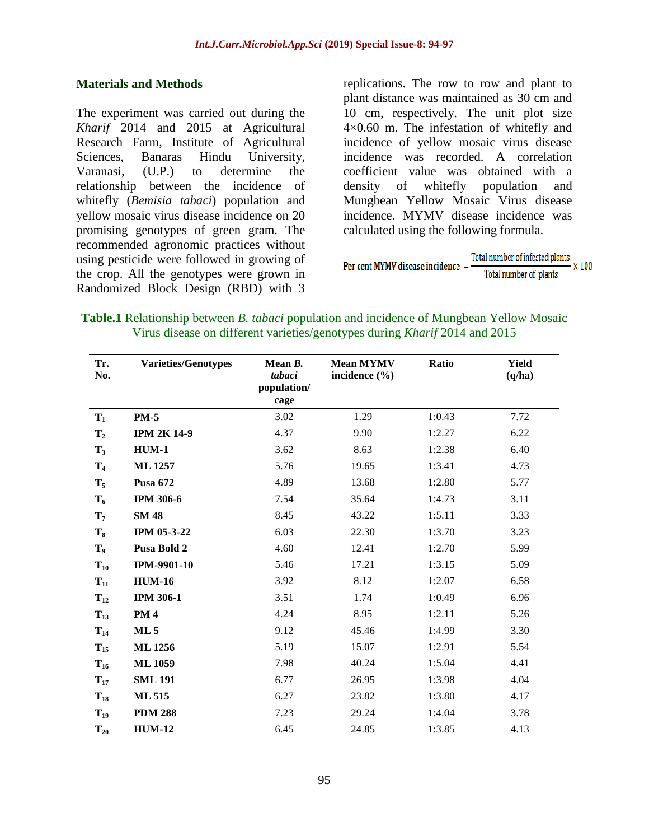#### **Materials and Methods**

The experiment was carried out during the *Kharif* 2014 and 2015 at Agricultural Research Farm, Institute of Agricultural Sciences, Banaras Hindu University, Varanasi, (U.P.) to determine the relationship between the incidence of whitefly (*Bemisia tabaci*) population and yellow mosaic virus disease incidence on 20 promising genotypes of green gram. The recommended agronomic practices without using pesticide were followed in growing of the crop. All the genotypes were grown in Randomized Block Design (RBD) with 3

replications. The row to row and plant to plant distance was maintained as 30 cm and 10 cm, respectively. The unit plot size 4×0.60 m. The infestation of whitefly and incidence of yellow mosaic virus disease incidence was recorded. A correlation coefficient value was obtained with a density of whitefly population and Mungbean Yellow Mosaic Virus disease incidence. MYMV disease incidence was calculated using the following formula.

**Per cent MYMV disease incidence**  $=$   $\frac{\text{Total number of infected plants}}{\text{Total number of plants}}$  $-x100$ Total number of plants

**Table.1** Relationship between *B. tabaci* population and incidence of Mungbean Yellow Mosaic Virus disease on different varieties/genotypes during *Kharif* 2014 and 2015

| Tr.<br>No.     | <b>Varieties/Genotypes</b> | Mean $B$ .<br>tabaci<br>population/<br>cage | <b>Mean MYMV</b><br>incidence $(\% )$ | Ratio  | <b>Yield</b><br>(q/ha) |
|----------------|----------------------------|---------------------------------------------|---------------------------------------|--------|------------------------|
| $T_1$          | <b>PM-5</b>                | 3.02                                        | 1.29                                  | 1:0.43 | 7.72                   |
| T <sub>2</sub> | <b>IPM 2K 14-9</b>         | 4.37                                        | 9.90                                  | 1:2.27 | 6.22                   |
| $\mathbf{T}_3$ | <b>HUM-1</b>               | 3.62                                        | 8.63                                  | 1:2.38 | 6.40                   |
| $T_4$          | <b>ML1257</b>              | 5.76                                        | 19.65                                 | 1:3.41 | 4.73                   |
| $T_5$          | <b>Pusa 672</b>            | 4.89                                        | 13.68                                 | 1:2.80 | 5.77                   |
| $T_6$          | <b>IPM 306-6</b>           | 7.54                                        | 35.64                                 | 1:4.73 | 3.11                   |
| $T_7$          | <b>SM 48</b>               | 8.45                                        | 43.22                                 | 1:5.11 | 3.33                   |
| $T_8$          | IPM 05-3-22                | 6.03                                        | 22.30                                 | 1:3.70 | 3.23                   |
| $\mathbf{T}_9$ | Pusa Bold 2                | 4.60                                        | 12.41                                 | 1:2.70 | 5.99                   |
| $T_{10}$       | <b>IPM-9901-10</b>         | 5.46                                        | 17.21                                 | 1:3.15 | 5.09                   |
| $T_{11}$       | <b>HUM-16</b>              | 3.92                                        | 8.12                                  | 1:2.07 | 6.58                   |
| $T_{12}$       | <b>IPM 306-1</b>           | 3.51                                        | 1.74                                  | 1:0.49 | 6.96                   |
| $T_{13}$       | <b>PM4</b>                 | 4.24                                        | 8.95                                  | 1:2.11 | 5.26                   |
| $T_{14}$       | ML <sub>5</sub>            | 9.12                                        | 45.46                                 | 1:4.99 | 3.30                   |
| $T_{15}$       | <b>ML1256</b>              | 5.19                                        | 15.07                                 | 1:2.91 | 5.54                   |
| $T_{16}$       | <b>ML1059</b>              | 7.98                                        | 40.24                                 | 1:5.04 | 4.41                   |
| $T_{17}$       | <b>SML 191</b>             | 6.77                                        | 26.95                                 | 1:3.98 | 4.04                   |
| $T_{18}$       | <b>ML 515</b>              | 6.27                                        | 23.82                                 | 1:3.80 | 4.17                   |
| $T_{19}$       | <b>PDM 288</b>             | 7.23                                        | 29.24                                 | 1:4.04 | 3.78                   |
| $T_{20}$       | <b>HUM-12</b>              | 6.45                                        | 24.85                                 | 1:3.85 | 4.13                   |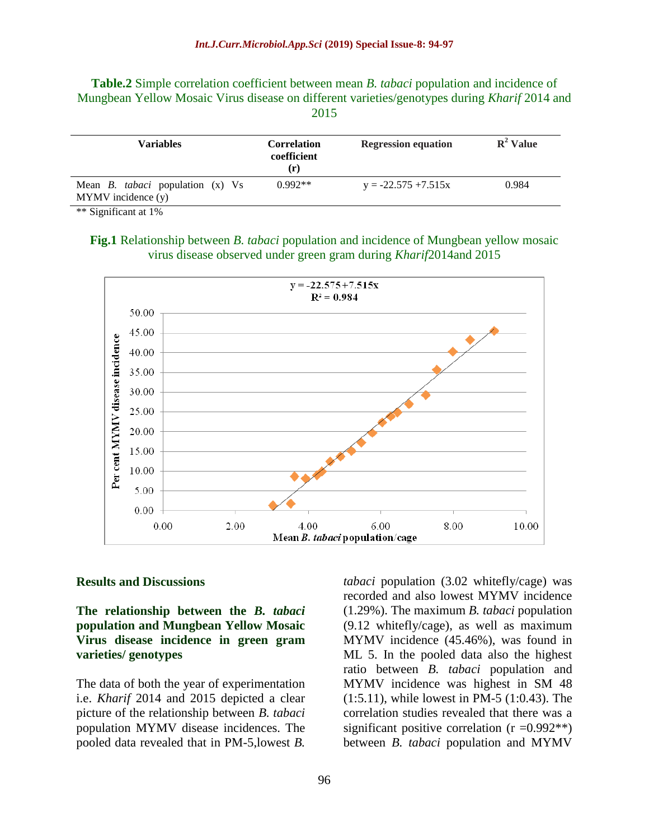**Table.2** Simple correlation coefficient between mean *B. tabaci* population and incidence of Mungbean Yellow Mosaic Virus disease on different varieties/genotypes during *Kharif* 2014 and 2015

| <b>Variables</b>                                                  | <b>Correlation</b><br>coefficient<br>$(\mathbf{r})$ | <b>Regression equation</b> | $R^2$ Value |
|-------------------------------------------------------------------|-----------------------------------------------------|----------------------------|-------------|
| Mean <i>B. tabaci</i> population (x) Vs<br>$MYMV$ incidence $(y)$ | $0.992**$                                           | $y = -22.575 + 7.515x$     | 0.984       |

\*\* Significant at 1%

**Fig.1** Relationship between *B. tabaci* population and incidence of Mungbean yellow mosaic virus disease observed under green gram during *Kharif*2014and 2015



#### **Results and Discussions**

**The relationship between the** *B. tabaci* **population and Mungbean Yellow Mosaic Virus disease incidence in green gram varieties/ genotypes**

The data of both the year of experimentation i.e. *Kharif* 2014 and 2015 depicted a clear picture of the relationship between *B. tabaci* population MYMV disease incidences. The pooled data revealed that in PM-5,lowest *B.* 

*tabaci* population (3.02 whitefly/cage) was recorded and also lowest MYMV incidence (1.29%). The maximum *B. tabaci* population (9.12 whitefly/cage), as well as maximum MYMV incidence (45.46%), was found in ML 5. In the pooled data also the highest ratio between *B. tabaci* population and MYMV incidence was highest in SM 48 (1:5.11), while lowest in PM-5 (1:0.43). The correlation studies revealed that there was a significant positive correlation  $(r = 0.992**)$ between *B. tabaci* population and MYMV